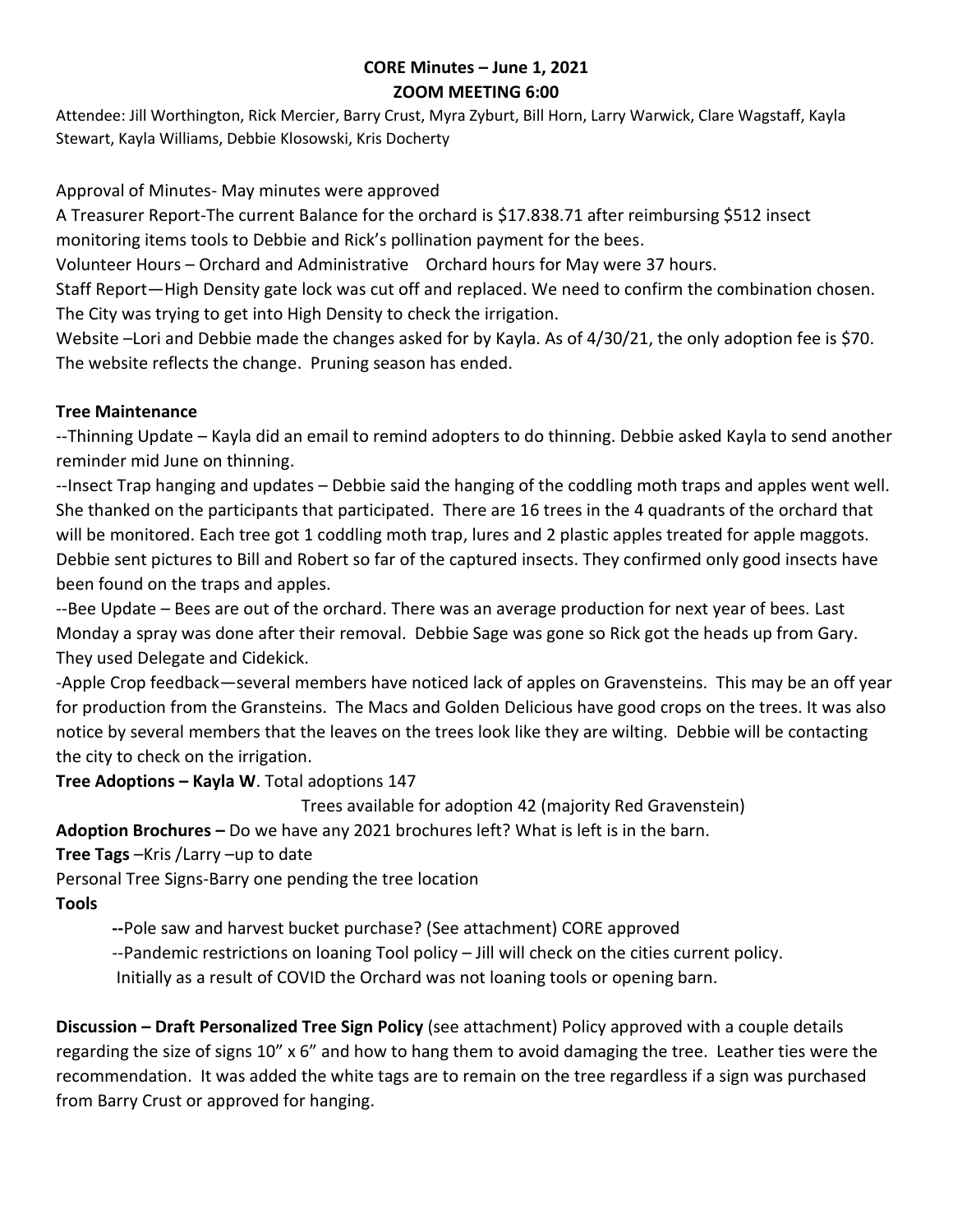# **CORE Minutes – June 1, 2021 ZOOM MEETING 6:00**

Attendee: Jill Worthington, Rick Mercier, Barry Crust, Myra Zyburt, Bill Horn, Larry Warwick, Clare Wagstaff, Kayla Stewart, Kayla Williams, Debbie Klosowski, Kris Docherty

### Approval of Minutes- May minutes were approved

A Treasurer Report-The current Balance for the orchard is \$17.838.71 after reimbursing \$512 insect monitoring items tools to Debbie and Rick's pollination payment for the bees.

Volunteer Hours – Orchard and Administrative Orchard hours for May were 37 hours.

Staff Report—High Density gate lock was cut off and replaced. We need to confirm the combination chosen. The City was trying to get into High Density to check the irrigation.

Website –Lori and Debbie made the changes asked for by Kayla. As of 4/30/21, the only adoption fee is \$70. The website reflects the change. Pruning season has ended.

#### **Tree Maintenance**

--Thinning Update – Kayla did an email to remind adopters to do thinning. Debbie asked Kayla to send another reminder mid June on thinning.

--Insect Trap hanging and updates – Debbie said the hanging of the coddling moth traps and apples went well. She thanked on the participants that participated. There are 16 trees in the 4 quadrants of the orchard that will be monitored. Each tree got 1 coddling moth trap, lures and 2 plastic apples treated for apple maggots. Debbie sent pictures to Bill and Robert so far of the captured insects. They confirmed only good insects have been found on the traps and apples.

--Bee Update – Bees are out of the orchard. There was an average production for next year of bees. Last Monday a spray was done after their removal. Debbie Sage was gone so Rick got the heads up from Gary. They used Delegate and Cidekick.

-Apple Crop feedback—several members have noticed lack of apples on Gravensteins. This may be an off year for production from the Gransteins. The Macs and Golden Delicious have good crops on the trees. It was also notice by several members that the leaves on the trees look like they are wilting. Debbie will be contacting the city to check on the irrigation.

**Tree Adoptions – Kayla W**. Total adoptions 147

Trees available for adoption 42 (majority Red Gravenstein)

**Adoption Brochures –** Do we have any 2021 brochures left? What is left is in the barn.

**Tree Tags** –Kris /Larry –up to date

Personal Tree Signs-Barry one pending the tree location

# **Tools**

**--**Pole saw and harvest bucket purchase? (See attachment) CORE approved

--Pandemic restrictions on loaning Tool policy – Jill will check on the cities current policy.

Initially as a result of COVID the Orchard was not loaning tools or opening barn.

**Discussion – Draft Personalized Tree Sign Policy** (see attachment) Policy approved with a couple details regarding the size of signs 10" x 6" and how to hang them to avoid damaging the tree. Leather ties were the recommendation. It was added the white tags are to remain on the tree regardless if a sign was purchased from Barry Crust or approved for hanging.